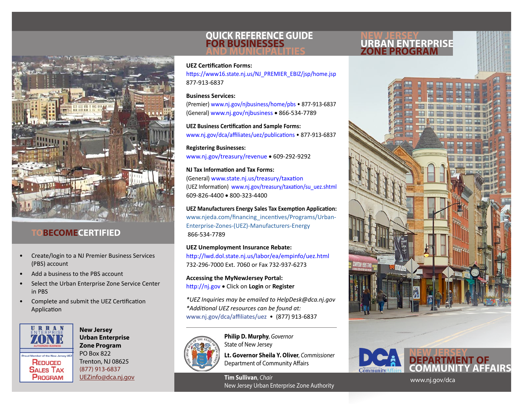

# **BECOMECERTIFIED**

- Create/login to a NJ Premier Business Services (PBS) account
- Add a business to the PBS account
- Select the Urban Enterprise Zone Service Center in PBS
- Complete and submit the UEZ Certification Application



**New Jersey Urban Enterprise Zone Program** PO Box 822 Trenton, NJ 08625 (877) 913-6837 [UEZinfo@dca.nj.gov](mailto:UEZinfo@dca.nj.gov)

## **QUICK REFERENCE GUIDE FOR BUSINESSES AND MUNICIPALITIES**

### **NEW JERSEY URBAN ENTERPRISE ZONE PROGRAM**

**UEZ Certification Forms:**

[https://www16.state.nj.us/NJ\\_PREMIER\\_EBIZ/jsp/home.jsp](https://www16.state.nj.us/NJ_PREMIER_EBIZ/jsp/home.jsp) 877-913-6837

#### **Business Services:**

(Premier) [www.nj.gov/](http://www.nj.gov/njbusiness/home/pbs)njbusiness/home/pbs • 877-913-6837 (General) [www.nj.gov/n](http://www.nj.gov/njbusiness/)jbusiness • 866-534-7789

**UEZ Business Certification and Sample Forms:** <www.nj.gov/dca/affiliates/uez/publications>• 877-913-6837

**Registering Businesses:** <www.nj.gov/treasury/revenue> • 609-292-9292

**NJ Tax Information and Tax Forms:** (General) <www.state.nj.us/treasury/taxation> (UEZ Information) [www.nj.gov/treasury/taxation/su\\_uez.shtml](www.nj.gov/treasury/taxation/su_uez.shtml) 609-826-4400 • 800-323-4400

**UEZ Manufacturers Energy Sales Tax Exemption Application:** www.njeda.com/financing\_incentives/Programs/Urban-Enterprise-Zones-(UEZ)-Manufacturers-Energy 866-534-7789

**UEZ Unemployment Insurance Rebate:** http://lwd.dol.state.nj.us/labor/ea/empinfo/uez.html 732-296-7000 Ext. 7060 or Fax 732-937-6273

**Accessing the MyNewJersey Portal:** <http://nj.gov> • Click on **Login** or **Register**

*\*UEZ Inquiries may be emailed to HelpDesk@dca.nj.gov \*Additional UEZ resources can be found at:*  <www.nj.gov/dca/affiliates/uez>• (877) 913-6837



**Philip D. Murphy**, *Governor* State of New Jersey

**Lt. Governor Sheila Y. Oliver**, *Commissioner* Department of Community Affairs

**Tim Sullivan**, *Chair* New Jersey Urban Enterprise Zone Authority





<www.nj.gov/dca>